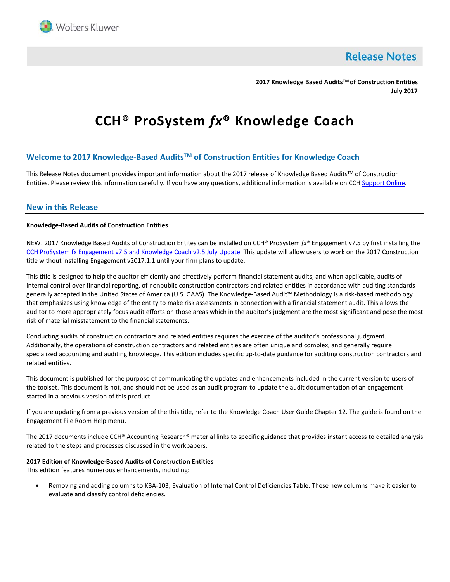

**Release Notes** 

**2017 Knowledge Based AuditsTM of Construction Entities July 2017**

# **CCH® ProSystem** *fx***® Knowledge Coach**

# **Welcome to 2017 Knowledge-Based AuditsTM of Construction Entities for Knowledge Coach**

This Release Notes document provides important information about the 2017 release of Knowledge Based Audits™ of Construction Entities. Please review this information carefully. If you have any questions, additional information is available on CCH [Support Online.](http://support.cch.com/productsupport/)

# **New in this Release**

## **Knowledge-Based Audits of Construction Entities**

NEW! 2017 Knowledge Based Audits of Construction Entites can be installed on CCH® ProSystem *fx*® Engagement v7.5 by first installing the CCH ProSystem fx [Engagement v7.5 and](https://support.cch.com/updates/Engagement/patch75/patch75.aspx) Knowledge Coach v2.5 July Update. This update will allow users to work on the 2017 Construction title without installing Engagement v2017.1.1 until your firm plans to update.

This title is designed to help the auditor efficiently and effectively perform financial statement audits, and when applicable, audits of internal control over financial reporting, of nonpublic construction contractors and related entities in accordance with auditing standards generally accepted in the United States of America (U.S. GAAS). The Knowledge-Based Audit™ Methodology is a risk-based methodology that emphasizes using knowledge of the entity to make risk assessments in connection with a financial statement audit. This allows the auditor to more appropriately focus audit efforts on those areas which in the auditor's judgment are the most significant and pose the most risk of material misstatement to the financial statements.

Conducting audits of construction contractors and related entities requires the exercise of the auditor's professional judgment. Additionally, the operations of construction contractors and related entities are often unique and complex, and generally require specialized accounting and auditing knowledge. This edition includes specific up-to-date guidance for auditing construction contractors and related entities.

This document is published for the purpose of communicating the updates and enhancements included in the current version to users of the toolset. This document is not, and should not be used as an audit program to update the audit documentation of an engagement started in a previous version of this product.

If you are updating from a previous version of the this title, refer to the Knowledge Coach User Guide Chapter 12. The guide is found on the Engagement File Room Help menu.

The 2017 documents include CCH® Accounting Research® material links to specific guidance that provides instant access to detailed analysis related to the steps and processes discussed in the workpapers.

#### **2017 Edition of Knowledge-Based Audits of Construction Entities**

This edition features numerous enhancements, including:

• Removing and adding columns to KBA-103, Evaluation of Internal Control Deficiencies Table. These new columns make it easier to evaluate and classify control deficiencies.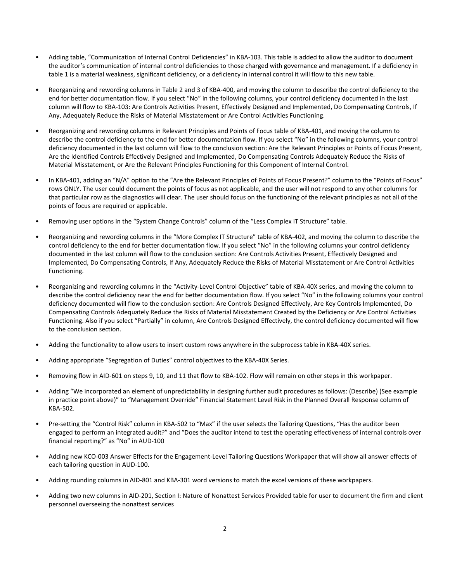- Adding table, "Communication of Internal Control Deficiencies" in KBA-103. This table is added to allow the auditor to document the auditor's communication of internal control deficiencies to those charged with governance and management. If a deficiency in table 1 is a material weakness, significant deficiency, or a deficiency in internal control it will flow to this new table.
- Reorganizing and rewording columns in Table 2 and 3 of KBA-400, and moving the column to describe the control deficiency to the end for better documentation flow. If you select "No" in the following columns, your control deficiency documented in the last column will flow to KBA-103: Are Controls Activities Present, Effectively Designed and Implemented, Do Compensating Controls, If Any, Adequately Reduce the Risks of Material Misstatement or Are Control Activities Functioning.
- Reorganizing and rewording columns in Relevant Principles and Points of Focus table of KBA-401, and moving the column to describe the control deficiency to the end for better documentation flow. If you select "No" in the following columns, your control deficiency documented in the last column will flow to the conclusion section: Are the Relevant Principles or Points of Focus Present, Are the Identified Controls Effectively Designed and Implemented, Do Compensating Controls Adequately Reduce the Risks of Material Misstatement, or Are the Relevant Principles Functioning for this Component of Internal Control.
- In KBA-401, adding an "N/A" option to the "Are the Relevant Principles of Points of Focus Present?" column to the "Points of Focus" rows ONLY. The user could document the points of focus as not applicable, and the user will not respond to any other columns for that particular row as the diagnostics will clear. The user should focus on the functioning of the relevant principles as not all of the points of focus are required or applicable.
- Removing user options in the "System Change Controls" column of the "Less Complex IT Structure" table.
- Reorganizing and rewording columns in the "More Complex IT Structure" table of KBA-402, and moving the column to describe the control deficiency to the end for better documentation flow. If you select "No" in the following columns your control deficiency documented in the last column will flow to the conclusion section: Are Controls Activities Present, Effectively Designed and Implemented, Do Compensating Controls, If Any, Adequately Reduce the Risks of Material Misstatement or Are Control Activities Functioning.
- Reorganizing and rewording columns in the "Activity-Level Control Objective" table of KBA-40X series, and moving the column to describe the control deficiency near the end for better documentation flow. If you select "No" in the following columns your control deficiency documented will flow to the conclusion section: Are Controls Designed Effectively, Are Key Controls Implemented, Do Compensating Controls Adequately Reduce the Risks of Material Misstatement Created by the Deficiency or Are Control Activities Functioning. Also if you select "Partially" in column, Are Controls Designed Effectively, the control deficiency documented will flow to the conclusion section.
- Adding the functionality to allow users to insert custom rows anywhere in the subprocess table in KBA-40X series.
- Adding appropriate "Segregation of Duties" control objectives to the KBA-40X Series.
- Removing flow in AID-601 on steps 9, 10, and 11 that flow to KBA-102. Flow will remain on other steps in this workpaper.
- Adding "We incorporated an element of unpredictability in designing further audit procedures as follows: (Describe) (See example in practice point above)" to "Management Override" Financial Statement Level Risk in the Planned Overall Response column of KBA-502.
- Pre-setting the "Control Risk" column in KBA-502 to "Max" if the user selects the Tailoring Questions, "Has the auditor been engaged to perform an integrated audit?" and "Does the auditor intend to test the operating effectiveness of internal controls over financial reporting?" as "No" in AUD-100
- Adding new KCO-003 Answer Effects for the Engagement-Level Tailoring Questions Workpaper that will show all answer effects of each tailoring question in AUD-100.
- Adding rounding columns in AID-801 and KBA-301 word versions to match the excel versions of these workpapers.
- Adding two new columns in AID-201, Section I: Nature of Nonattest Services Provided table for user to document the firm and client personnel overseeing the nonattest services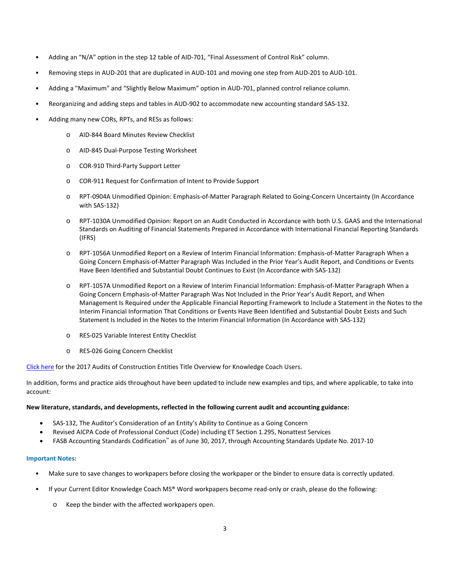- Adding an "N/A" option in the step 12 table of AID-701, "Final Assessment of Control Risk" column.
- Removing steps in AUD-201 that are duplicated in AUD-101 and moving one step from AUD-201 to AUD-101.
- Adding a "Maximum" and "Slightly Below Maximum" option in AUD-701, planned control reliance column.
- Reorganizing and adding steps and tables in AUD-902 to accommodate new accounting standard SAS-132.
- Adding many new CORs, RPTs, and RESs as follows:
	- o AID-844 Board Minutes Review Checklist
	- o AID-845 Dual-Purpose Testing Worksheet
	- o COR-910 Third-Party Support Letter
	- o COR-911 Request for Confirmation of Intent to Provide Support
	- o RPT-0904A Unmodified Opinion: Emphasis-of-Matter Paragraph Related to Going-Concern Uncertainty (In Accordance with SAS-132)
	- o RPT-1030A Unmodified Opinion: Report on an Audit Conducted in Accordance with both U.S. GAAS and the International Standards on Auditing of Financial Statements Prepared in Accordance with International Financial Reporting Standards (IFRS)
	- o RPT-1056A Unmodified Report on a Review of Interim Financial Information: Emphasis-of-Matter Paragraph When a Going Concern Emphasis-of-Matter Paragraph Was Included in the Prior Year's Audit Report, and Conditions or Events Have Been Identified and Substantial Doubt Continues to Exist (In Accordance with SAS-132)
	- o RPT-1057A Unmodified Report on a Review of Interim Financial Information: Emphasis-of-Matter Paragraph When a Going Concern Emphasis-of-Matter Paragraph Was Not Included in the Prior Year's Audit Report, and When Management Is Required under the Applicable Financial Reporting Framework to Include a Statement in the Notes to the Interim Financial Information That Conditions or Events Have Been Identified and Substantial Doubt Exists and Such Statement Is Included in the Notes to the Interim Financial Information (In Accordance with SAS-132)
	- o RES-025 Variable Interest Entity Checklist
	- o RES-026 Going Concern Checklist

[Click here](http://support.cch.com/updates/KnowledgeCoach/pdf/guides_tab/2017%20Construction%20Entities%20Title%20Overview%20for%20Knowledge%20Coach%20Users.pdf) for the 2017 Audits of Construction Entities Title Overview for Knowledge Coach Users.

In addition, forms and practice aids throughout have been updated to include new examples and tips, and where applicable, to take into account:

## **New literature, standards, and developments, reflected in the following current audit and accounting guidance:**

- SAS-132, The Auditor's Consideration of an Entity's Ability to Continue as a Going Concern
- Revised AICPA Code of Professional Conduct (Code) including ET Section 1.295, Nonattest Services
- FASB Accounting Standards Codification™ as of June 30, 2017, through Accounting Standards Update No. 2017-10

## **Important Notes:**

- Make sure to save changes to workpapers before closing the workpaper or the binder to ensure data is correctly updated.
- If your Current Editor Knowledge Coach MS® Word workpapers become read-only or crash, please do the following:
	- o Keep the binder with the affected workpapers open.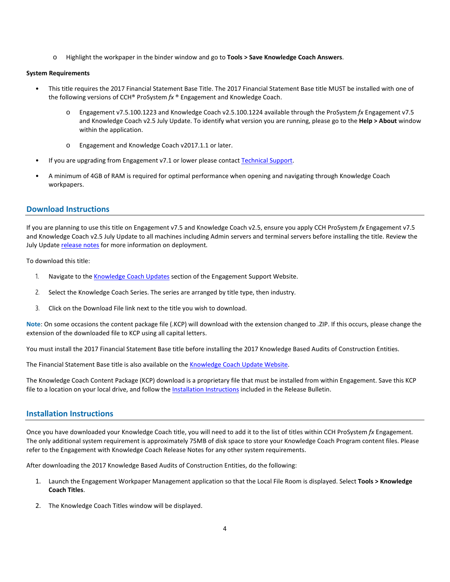o Highlight the workpaper in the binder window and go to **Tools > Save Knowledge Coach Answers**.

#### **System Requirements**

- This title requires the 2017 Financial Statement Base Title. The 2017 Financial Statement Base title MUST be installed with one of the following versions of CCH® ProSystem *fx* ® Engagement and Knowledge Coach.
	- o Engagement v7.5.100.1223 and Knowledge Coach v2.5.100.1224 available through the ProSystem *fx* Engagement v7.5 and Knowledge Coach v2.5 July Update. To identify what version you are running, please go to the **Help > About** window within the application.
	- o Engagement and Knowledge Coach v2017.1.1 or later.
- If you are upgrading from Engagement v7.1 or lower please contac[t Technical Support.](https://support.cch.com/contact)
- A minimum of 4GB of RAM is required for optimal performance when opening and navigating through Knowledge Coach workpapers.

# **Download Instructions**

If you are planning to use this title on Engagement v7.5 and Knowledge Coach v2.5, ensure you apply CCH ProSystem *fx* Engagement v7.5 and Knowledge Coach v2.5 July Update to all machines including Admin servers and terminal servers before installing the title. Review the July Updat[e release notes](https://support.cch.com/updates/Engagement/patch75/Engagement%20and%20KC%20July%202017%20Update%20Release%20Notes.pdf) for more information on deployment.

To download this title:

- 1. Navigate to the [Knowledge Coach Updates](http://support.cch.com/updates/KnowledgeCoach) section of the Engagement Support Website.
- 2. Select the Knowledge Coach Series. The series are arranged by title type, then industry.
- 3. Click on the Download File link next to the title you wish to download.

**Note**: On some occasions the content package file (.KCP) will download with the extension changed to .ZIP. If this occurs, please change the extension of the downloaded file to KCP using all capital letters.

You must install the 2017 Financial Statement Base title before installing the 2017 Knowledge Based Audits of Construction Entities.

The Financial Statement Base title is also available on th[e Knowledge Coach Update Website.](http://support.cch.com/updates/KnowledgeCoach)

The Knowledge Coach Content Package (KCP) download is a proprietary file that must be installed from within Engagement. Save this KCP file to a location on your local drive, and follow the Installation Instructions included in the Release Bulletin.

# **Installation Instructions**

Once you have downloaded your Knowledge Coach title, you will need to add it to the list of titles within CCH ProSystem *fx* Engagement. The only additional system requirement is approximately 75MB of disk space to store your Knowledge Coach Program content files. Please refer to the Engagement with Knowledge Coach Release Notes for any other system requirements.

After downloading the 2017 Knowledge Based Audits of Construction Entities, do the following:

- 1. Launch the Engagement Workpaper Management application so that the Local File Room is displayed. Select **Tools > Knowledge Coach Titles**.
- 2. The Knowledge Coach Titles window will be displayed.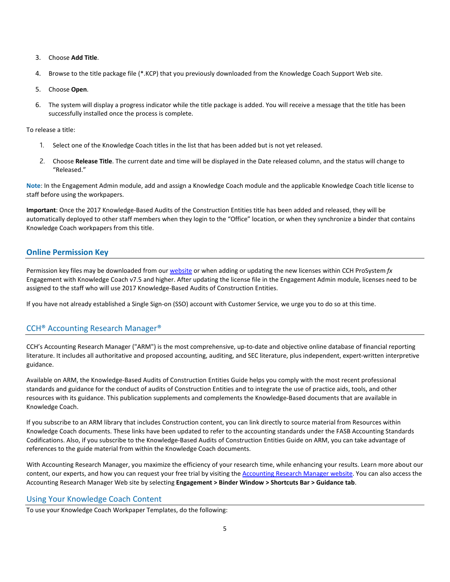- 3. Choose **Add Title**.
- 4. Browse to the title package file (\*.KCP) that you previously downloaded from the Knowledge Coach Support Web site.
- 5. Choose **Open**.
- 6. The system will display a progress indicator while the title package is added. You will receive a message that the title has been successfully installed once the process is complete.

To release a title:

- 1. Select one of the Knowledge Coach titles in the list that has been added but is not yet released.
- 2. Choose **Release Title**. The current date and time will be displayed in the Date released column, and the status will change to "Released."

**Note**: In the Engagement Admin module, add and assign a Knowledge Coach module and the applicable Knowledge Coach title license to staff before using the workpapers.

**Important**: Once the 2017 Knowledge-Based Audits of the Construction Entities title has been added and released, they will be automatically deployed to other staff members when they login to the "Office" location, or when they synchronize a binder that contains Knowledge Coach workpapers from this title.

# **Online Permission Key**

Permission key files may be downloaded from ou[r website](https://prosystemfxsupport.tax.cchgroup.com/permkey/download.aspx) or when adding or updating the new licenses within CCH ProSystem *fx* Engagement with Knowledge Coach v7.5 and higher. After updating the license file in the Engagement Admin module, licenses need to be assigned to the staff who will use 2017 Knowledge-Based Audits of Construction Entities.

If you have not already established a Single Sign-on (SSO) account with Customer Service, we urge you to do so at this time.

# CCH® Accounting Research Manager®

CCH's Accounting Research Manager ("ARM") is the most comprehensive, up-to-date and objective online database of financial reporting literature. It includes all authoritative and proposed accounting, auditing, and SEC literature, plus independent, expert-written interpretive guidance.

Available on ARM, the Knowledge-Based Audits of Construction Entities Guide helps you comply with the most recent professional standards and guidance for the conduct of audits of Construction Entities and to integrate the use of practice aids, tools, and other resources with its guidance. This publication supplements and complements the Knowledge-Based documents that are available in Knowledge Coach.

If you subscribe to an ARM library that includes Construction content, you can link directly to source material from Resources within Knowledge Coach documents. These links have been updated to refer to the accounting standards under the FASB Accounting Standards Codifications. Also, if you subscribe to the Knowledge-Based Audits of Construction Entities Guide on ARM, you can take advantage of references to the guide material from within the Knowledge Coach documents.

With Accounting Research Manager, you maximize the efficiency of your research time, while enhancing your results. Learn more about our content, our experts, and how you can request your free trial by visiting the [Accounting Research Manager website.](http://www.accountingresearchmanager.com/) You can also access the Accounting Research Manager Web site by selecting **Engagement > Binder Window > Shortcuts Bar > Guidance tab**.

## Using Your Knowledge Coach Content

To use your Knowledge Coach Workpaper Templates, do the following: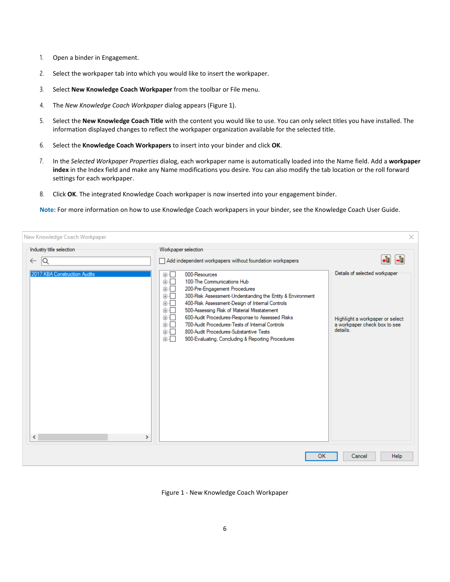- 1. Open a binder in Engagement.
- 2. Select the workpaper tab into which you would like to insert the workpaper.
- 3. Select **New Knowledge Coach Workpaper** from the toolbar or File menu.
- 4. The *New Knowledge Coach Workpaper* dialog appears (Figure 1).
- 5. Select the **New Knowledge Coach Title** with the content you would like to use. You can only select titles you have installed. The information displayed changes to reflect the workpaper organization available for the selected title.
- 6. Select the **Knowledge Coach Workpapers** to insert into your binder and click **OK**.
- 7. In the *Selected Workpaper Properties* dialog, each workpaper name is automatically loaded into the Name field. Add a **workpaper index** in the Index field and make any Name modifications you desire. You can also modify the tab location or the roll forward settings for each workpaper.
- 8. Click **OK**. The integrated Knowledge Coach workpaper is now inserted into your engagement binder.

**Note:** For more information on how to use Knowledge Coach workpapers in your binder, see the Knowledge Coach User Guide.

| New Knowledge Coach Workpaper                                                  |                                   |                                                                                                                                                                                                                                                                                                                                                                                    | $\times$                                                                                  |
|--------------------------------------------------------------------------------|-----------------------------------|------------------------------------------------------------------------------------------------------------------------------------------------------------------------------------------------------------------------------------------------------------------------------------------------------------------------------------------------------------------------------------|-------------------------------------------------------------------------------------------|
| Industry title selection<br>1Q<br>$\leftarrow$<br>2017 KBA Construction Audits | 田市<br>面一<br>面。<br>由…<br>面板工<br>面一 | Workpaper selection<br>Add independent workpapers without foundation workpapers<br>000-Resources<br>100-The Communications Hub<br>200-Pre-Engagement Procedures<br>300-Risk Assessment-Understanding the Entity & Environment<br>400-Risk Assessment-Design of Internal Controls<br>500-Assessing Risk of Material Misstatement<br>600-Audit Procedures-Response to Assessed Risks | ٠ŧ<br>$\frac{1}{160}$<br>Details of selected workpaper<br>Highlight a workpaper or select |
|                                                                                | 面目<br>面一<br>面切口                   | 700-Audit Procedures-Tests of Internal Controls<br>800-Audit Procedures-Substantive Tests<br>900-Evaluating, Concluding & Reporting Procedures                                                                                                                                                                                                                                     | a workpaper check box to see<br>details.                                                  |
| $\leq$                                                                         | ⋗                                 | OK                                                                                                                                                                                                                                                                                                                                                                                 | Help<br>Cancel                                                                            |

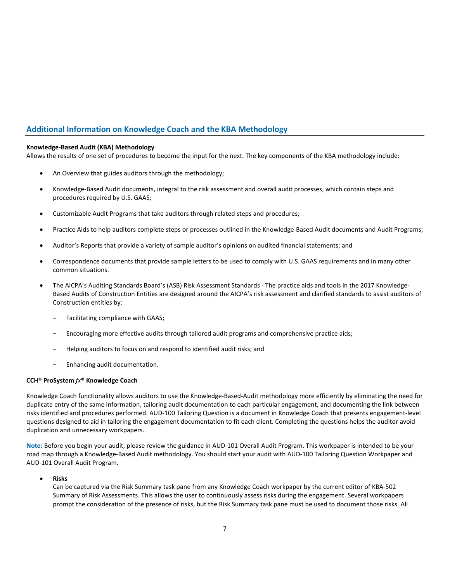# **Additional Information on Knowledge Coach and the KBA Methodology**

## **Knowledge-Based Audit (KBA) Methodology**

Allows the results of one set of procedures to become the input for the next. The key components of the KBA methodology include:

- An Overview that guides auditors through the methodology;
- Knowledge-Based Audit documents, integral to the risk assessment and overall audit processes, which contain steps and procedures required by U.S. GAAS;
- Customizable Audit Programs that take auditors through related steps and procedures;
- Practice Aids to help auditors complete steps or processes outlined in the Knowledge-Based Audit documents and Audit Programs;
- Auditor's Reports that provide a variety of sample auditor's opinions on audited financial statements; and
- Correspondence documents that provide sample letters to be used to comply with U.S. GAAS requirements and in many other common situations.
- The AICPA's Auditing Standards Board's (ASB) Risk Assessment Standards The practice aids and tools in the 2017 Knowledge-Based Audits of Construction Entities are designed around the AICPA's risk assessment and clarified standards to assist auditors of Construction entities by:
	- Facilitating compliance with GAAS;
	- Encouraging more effective audits through tailored audit programs and comprehensive practice aids;
	- Helping auditors to focus on and respond to identified audit risks; and
	- Enhancing audit documentation.

#### **CCH® ProSystem** *fx***® Knowledge Coach**

Knowledge Coach functionality allows auditors to use the Knowledge-Based-Audit methodology more efficiently by eliminating the need for duplicate entry of the same information, tailoring audit documentation to each particular engagement, and documenting the link between risks identified and procedures performed. AUD-100 Tailoring Question is a document in Knowledge Coach that presents engagement-level questions designed to aid in tailoring the engagement documentation to fit each client. Completing the questions helps the auditor avoid duplication and unnecessary workpapers.

**Note:** Before you begin your audit, please review the guidance in AUD-101 Overall Audit Program. This workpaper is intended to be your road map through a Knowledge-Based Audit methodology. You should start your audit with AUD-100 Tailoring Question Workpaper and AUD-101 Overall Audit Program.

## • **Risks**

Can be captured via the Risk Summary task pane from any Knowledge Coach workpaper by the current editor of KBA-502 Summary of Risk Assessments. This allows the user to continuously assess risks during the engagement. Several workpapers prompt the consideration of the presence of risks, but the Risk Summary task pane must be used to document those risks. All